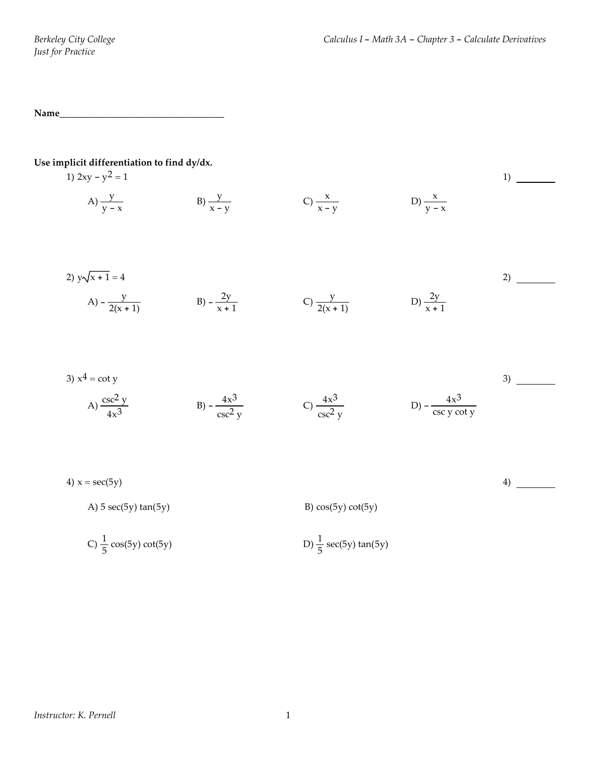**Name\_\_\_\_\_\_\_\_\_\_\_\_\_\_\_\_\_\_\_\_\_\_\_\_\_\_\_\_\_\_\_\_\_\_\_**

**Use implicit differentiation to find dy/dx.**

1) 
$$
2xy - y^2 = 1
$$
  
\nA)  $\frac{y}{y - x}$   
\nB)  $\frac{y}{x - y}$   
\nC)  $\frac{x}{x - y}$   
\nD)  $\frac{x}{y - x}$   
\n1)

2) 
$$
y\sqrt{x+1} = 4
$$
  
\nA)  $-\frac{y}{2(x+1)}$   
\nB)  $-\frac{2y}{x+1}$   
\nC)  $\frac{y}{2(x+1)}$   
\nD)  $\frac{2y}{x+1}$ 

3) 
$$
x^4 = \cot y
$$
  
\nA)  $\frac{\csc^2 y}{4x^3}$   
\nB)  $-\frac{4x^3}{\csc^2 y}$   
\nC)  $\frac{4x^3}{\csc^2 y}$   
\nD)  $-\frac{4x^3}{\csc y \cot y}$   
\n3)

| 4) $x = \sec(5y)$        |                      | 4 |
|--------------------------|----------------------|---|
| A) $5 \sec(5y) \tan(5y)$ | B) $cos(5y) cot(5y)$ |   |

C) 
$$
\frac{1}{5}
$$
 cos(5y) cot(5y)   
D)  $\frac{1}{5}$  sec(5y) tan(5y)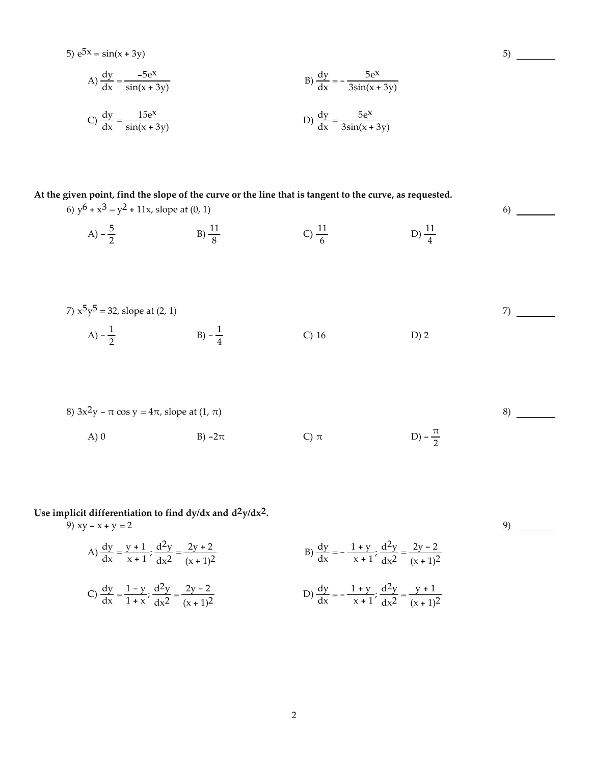5) 
$$
e^{5x} = sin(x + 3y)
$$
  
\nA)  $\frac{dy}{dx} = \frac{-5e^{x}}{sin(x + 3y)}$   
\nB)  $\frac{dy}{dx} = -\frac{5e^{x}}{3sin(x + 3y)}$   
\nC)  $\frac{dy}{dx} = \frac{15e^{x}}{sin(x + 3y)}$   
\nD)  $\frac{dy}{dx} = \frac{5e^{x}}{3sin(x + 3y)}$ 

At the given point, find the slope of the curve or the line that is tangent to the curve, as requested. 6)  $y^6 + x^3 = y^2 + 11x$ , slope at (0, 1)

> A)  $-\frac{5}{2}$  B)  $\frac{11}{8}$  C)  $\frac{11}{6}$  $\frac{11}{6}$  D)  $\frac{11}{4}$

7) 
$$
x^5y^5 = 32
$$
, slope at (2, 1)  
A)  $-\frac{1}{2}$  \t B)  $-\frac{1}{4}$  \t C) 16 \t D) 2

8) 
$$
3x^2y - \pi \cos y = 4\pi
$$
, slope at  $(1, \pi)$   
A) 0  
B)  $-2\pi$   
C)  $\pi$   
D)  $-\frac{\pi}{2}$ 

**Use implicit differentiation to find dy/dx and d2y/dx2.** 9)  $xy - x + y = 2$ 

A) 
$$
\frac{dy}{dx} = \frac{y+1}{x+1}; \frac{d^2y}{dx^2} = \frac{2y+2}{(x+1)^2}
$$
  
\nB)  $\frac{dy}{dx} = -\frac{1+y}{x+1}; \frac{d^2y}{dx^2} = \frac{2y-2}{(x+1)^2}$   
\nC)  $\frac{dy}{dx} = \frac{1-y}{1+x}; \frac{d^2y}{dx^2} = \frac{2y-2}{(x+1)^2}$   
\nD)  $\frac{dy}{dx} = -\frac{1+y}{x+1}; \frac{d^2y}{dx^2} = \frac{y+1}{(x+1)^2}$ 

9)

5)

6)

7)

8)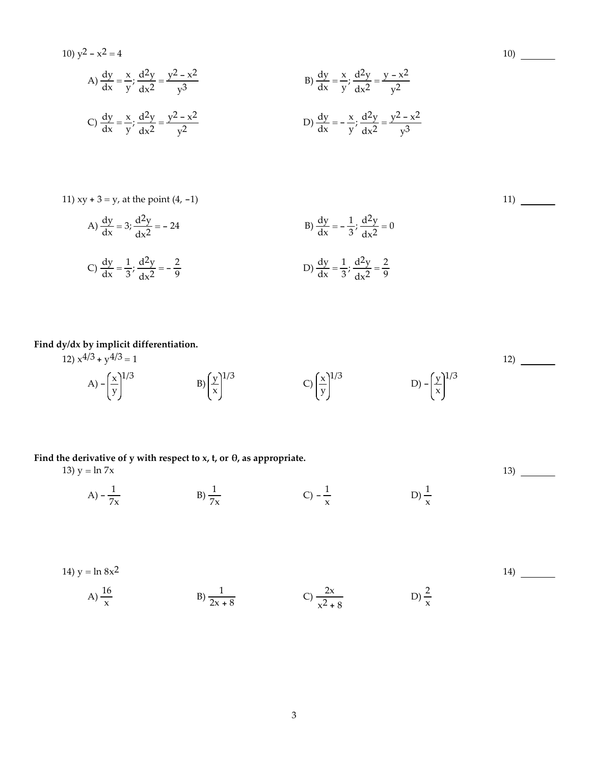10) 
$$
y^2 - x^2 = 4
$$
  
\nA)  $\frac{dy}{dx} = \frac{x}{y}; \frac{d^2y}{dx^2} = \frac{y^2 - x^2}{y^3}$   
\nB)  $\frac{dy}{dx} = \frac{x}{y}; \frac{d^2y}{dx^2} = \frac{y - x^2}{y^2}$   
\nC)  $\frac{dy}{dx} = \frac{x}{y}; \frac{d^2y}{dx^2} = \frac{y - x^2}{y^2}$   
\nD)  $\frac{dy}{dx} = -\frac{x}{y}; \frac{d^2y}{dx^2} = \frac{y^2 - x^2}{y^3}$ 

11) xy +  $3 = y$ , at the point  $(4, -1)$ 

A) 
$$
\frac{dy}{dx} = 3; \frac{d^2y}{dx^2} = -24
$$
  
\nB)  $\frac{dy}{dx} = -\frac{1}{3}; \frac{d^2y}{dx^2} = 0$   
\nC)  $\frac{dy}{dx} = \frac{1}{3}; \frac{d^2y}{dx^2} = -\frac{2}{9}$   
\nD)  $\frac{dy}{dx} = \frac{1}{3}; \frac{d^2y}{dx^2} = \frac{2}{9}$ 

#### **Find dy/dx by implicit differentiation.**

12)  $x^{4/3} + y^{4/3} = 1$ A)  $-\left(\frac{x}{y}\right)$ 1/3  $B\left(\frac{y}{x}\right)$ 1/3  $C\left(\frac{x}{y}\right)$ 1/3 D)  $-\left(\frac{y}{x}\right)$ 1/3 12)

### **Find the derivative of y with respect to x, t, or θ, as appropriate.**

13)  $y = ln 7x$ 

A)  $-\frac{1}{7x}$ B)  $\frac{1}{7x}$  $C) - \frac{1}{x}$  $\frac{1}{x}$  D)  $\frac{1}{x}$   $13)$ 

14) 
$$
y = \ln 8x^2
$$
  
\nA)  $\frac{16}{x}$   
\nB)  $\frac{1}{2x + 8}$   
\nC)  $\frac{2x}{x^2 + 8}$   
\nD)  $\frac{2}{x}$ 

10)

11)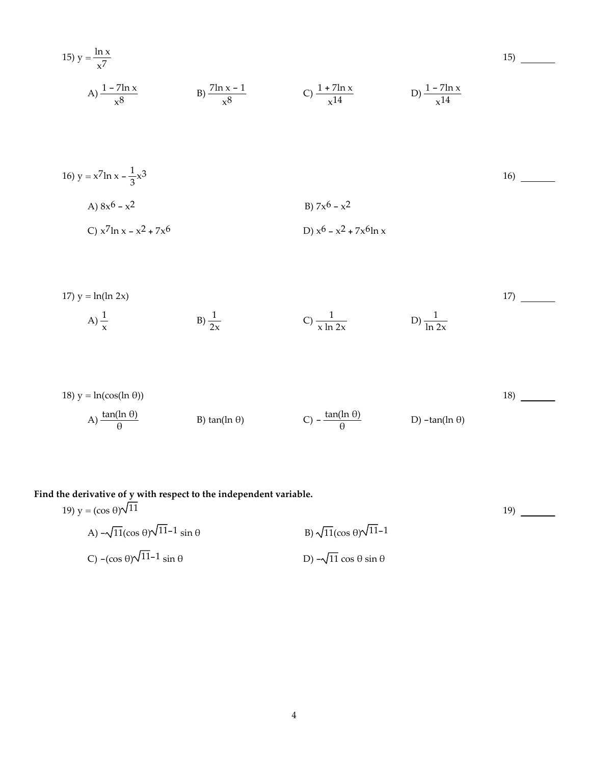15) 
$$
y = \frac{\ln x}{x^7}
$$
  
\nA)  $\frac{1 - 7\ln x}{x^8}$   
\nB)  $\frac{7\ln x - 1}{x^8}$   
\nC)  $\frac{1 + 7\ln x}{x^{14}}$   
\nD)  $\frac{1 - 7\ln x}{x^{14}}$ 

16) 
$$
y = x^7 \ln x - \frac{1}{3}x^3
$$
  
\nA)  $8x^6 - x^2$   
\nB)  $7x^6 - x^2$   
\nC)  $x^7 \ln x - x^2 + 7x^6$   
\nD)  $x^6 - x^2 + 7x^6 \ln x$ 

17) 
$$
y = \ln(\ln 2x)
$$
  
\nA)  $\frac{1}{x}$   
\nB)  $\frac{1}{2x}$   
\nC)  $\frac{1}{x \ln 2x}$   
\nD)  $\frac{1}{\ln 2x}$ 

18) 
$$
y = \ln(\cos(\ln \theta))
$$
  
\n(A)  $\frac{\tan(\ln \theta)}{\theta}$  \n(B)  $\tan(\ln \theta)$  \n(C)  $-\frac{\tan(\ln \theta)}{\theta}$  \n(D)  $-\tan(\ln \theta)$ 

19)

#### **Find the derivative of y with respect to the independent variable.**

19) 
$$
y = (\cos \theta)\sqrt{11}
$$
  
\nA)  $-\sqrt{11}(\cos \theta)\sqrt{11}-1 \sin \theta$   
\nB)  $\sqrt{11}(\cos \theta)\sqrt{11}-1$   
\nC)  $-(\cos \theta)\sqrt{11}-1 \sin \theta$   
\nD)  $-\sqrt{11} \cos \theta \sin \theta$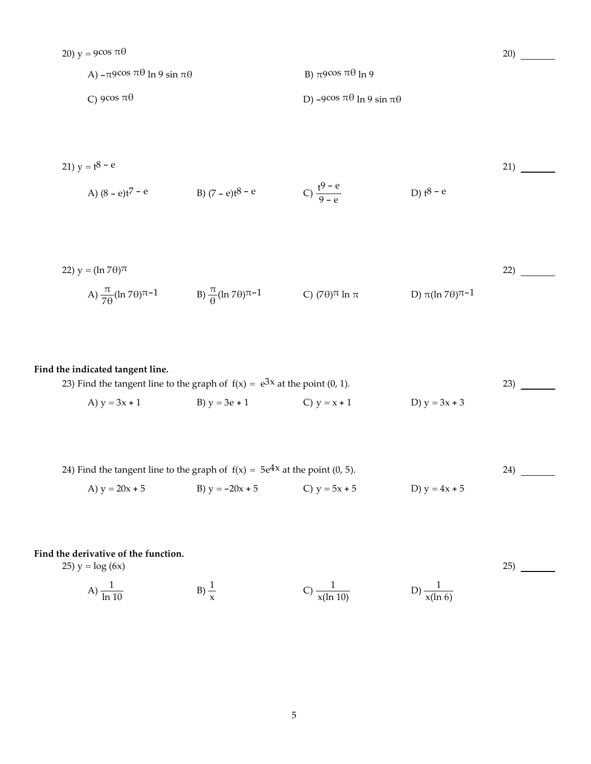A)  $-\pi$ 9cos  $\pi \theta$  ln 9 sin  $\pi \theta$  B)  $\pi$ 9cos  $\pi \theta$  ln 9 C)  $9\cos \pi\theta$  D)  $-9\cos \pi\theta \ln 9 \sin \pi\theta$ 

$$
21) y = t^8 - e
$$
 (21)

20)

25)

A) 
$$
(8 - e)t^7 - e
$$
 \t B)  $(7 - e)t^8 - e$  \t C)  $\frac{t^9 - e}{9 - e}$  \t D)  $t^8 - e$ 

22) 
$$
y = (\ln 7\theta)^{\pi}
$$
  
\nA)  $\frac{\pi}{7\theta} (\ln 7\theta)^{\pi-1}$   
\nB)  $\frac{\pi}{\theta} (\ln 7\theta)^{\pi-1}$   
\nC)  $(7\theta)^{\pi} \ln \pi$   
\nD)  $\pi (\ln 7\theta)^{\pi-1}$ 

### **Find the indicated tangent line.**

| 23) Find the tangent line to the graph of $f(x) = e^{3x}$ at the point (0, 1). |                 |                |                 |  |
|--------------------------------------------------------------------------------|-----------------|----------------|-----------------|--|
| A) $y = 3x + 1$                                                                | B) $y = 3e + 1$ | C) $y = x + 1$ | D) $y = 3x + 3$ |  |

| 24) Find the tangent line to the graph of $f(x) = 5e^{4x}$ at the point (0, 5). |                   |                 |                 |  |
|---------------------------------------------------------------------------------|-------------------|-----------------|-----------------|--|
| A) $y = 20x + 5$                                                                | B) $y = -20x + 5$ | C) $y = 5x + 5$ | D) $y = 4x + 5$ |  |

### **Find the derivative of the function.**

25)  $y = log(6x)$ 

A) 
$$
\frac{1}{\ln 10}
$$
 \t B)  $\frac{1}{x}$  \t C)  $\frac{1}{x(\ln 10)}$  \t D)  $\frac{1}{x(\ln 6)}$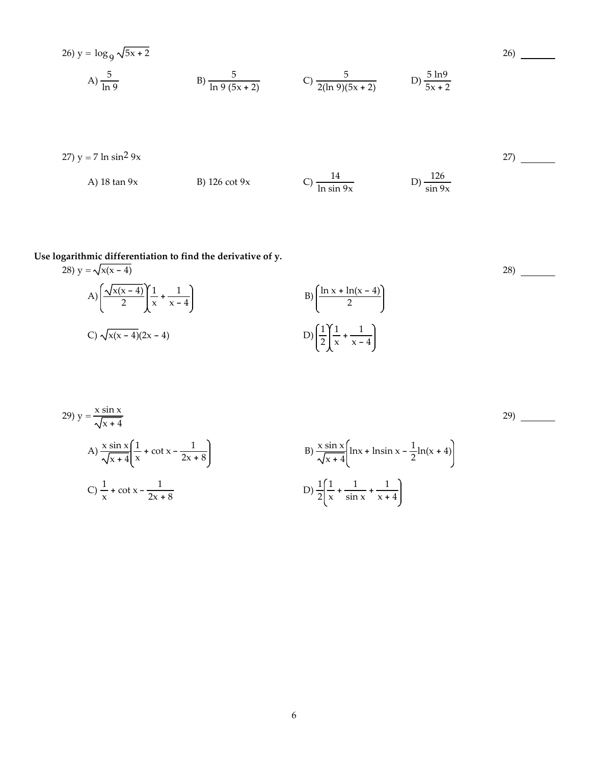26) 
$$
y = log_9 \sqrt{5x + 2}
$$
  
\nA)  $\frac{5}{ln 9}$   
\nB)  $\frac{5}{ln 9 (5x + 2)}$   
\nC)  $\frac{5}{2(ln 9)(5x + 2)}$   
\nD)  $\frac{5 ln 9}{5x + 2}$ 

27) 
$$
y = 7 \ln \sin^2 9x
$$
  
\nA) 18 tan 9x  
\nB) 126 cot 9x  
\nC)  $\frac{14}{\ln \sin 9x}$   
\nD)  $\frac{126}{\sin 9x}$ 

26)

28)

# **Use logarithmic differentiation to find the derivative of y.**

28) 
$$
y = \sqrt{x(x - 4)}
$$
  
\nA)  $\left( \frac{\sqrt{x(x - 4)}}{2} \right) \left( \frac{1}{x} + \frac{1}{x - 4} \right)$   
\nB)  $\left( \frac{\ln x + \ln(x - 4)}{2} \right)$   
\nC)  $\sqrt{x(x - 4)} (2x - 4)$   
\nD)  $\left( \frac{1}{2} \right) \left( \frac{1}{x} + \frac{1}{x - 4} \right)$ 

29) 
$$
y = \frac{x \sin x}{\sqrt{x + 4}}
$$
  
\nA)  $\frac{x \sin x}{\sqrt{x + 4}} \left( \frac{1}{x} + \cot x - \frac{1}{2x + 8} \right)$   
\nB)  $\frac{x \sin x}{\sqrt{x + 4}} \left[ \ln x + \ln \sin x - \frac{1}{2} \ln(x + 4) \right]$   
\nC)  $\frac{1}{x} + \cot x - \frac{1}{2x + 8}$   
\nD)  $\frac{1}{2} \left( \frac{1}{x} + \frac{1}{\sin x} + \frac{1}{x + 4} \right)$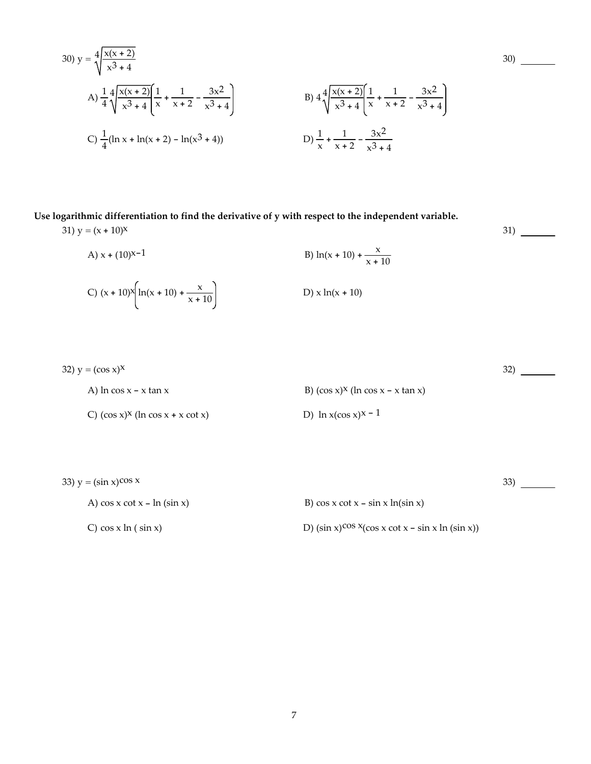30) 
$$
y = 4\sqrt{\frac{x(x+2)}{x^3+4}}
$$
  
\nA)  $\frac{1}{4}4\sqrt{\frac{x(x+2)}{x^3+4}}\left[\frac{1}{x} + \frac{1}{x+2} - \frac{3x^2}{x^3+4}\right]$   
\nB)  $44\sqrt{\frac{x(x+2)}{x^3+4}}\left[\frac{1}{x} + \frac{1}{x+2} - \frac{3x^2}{x^3+4}\right]$   
\nC)  $\frac{1}{4}(\ln x + \ln(x+2) - \ln(x^3+4))$   
\nD)  $\frac{1}{x} + \frac{1}{x+2} - \frac{3x^2}{x^3+4}$ 

### **Use logarithmic differentiation to find the derivative of y with respect to the independent variable.**

31)  $y = (x + 10)^{x}$ 

A) 
$$
x + (10)^{x-1}
$$
  
\nB)  $\ln(x + 10) + \frac{x}{x + 10}$   
\nC)  $(x + 10)^{x} \left[ \ln(x + 10) + \frac{x}{x + 10} \right]$   
\nD)  $x \ln(x + 10)$ 

32)  $y = (\cos x)^x$ A) ln cos  $x - x \tan x$  B) (cos  $x$ )<sup>x</sup> (ln cos  $x - x \tan x$ ) C)  $(\cos x)^x$  (ln  $\cos x + x \cot x$ ) D) ln  $x(\cos x)^{x-1}$ 32)

33)  $y = (\sin x)^{\cos x}$ A)  $\cos x \cot x - \ln(\sin x)$  B)  $\cos x \cot x - \sin x \ln(\sin x)$ 33)

C) cos x ln ( sin x) D) (sin x)<sup>cos x</sup>(cos x cot x - sin x ln (sin x))

30)

31)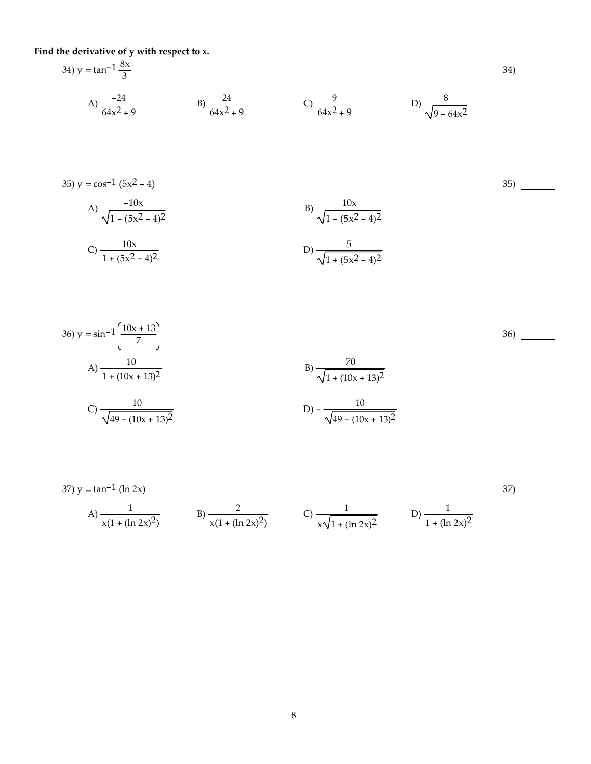**Find the derivative of y with respect to x.**

34) y = tan<sup>-1</sup> 
$$
\frac{8x}{3}
$$
  
\nA)  $\frac{-24}{64x^2 + 9}$   
\nB)  $\frac{24}{64x^2 + 9}$   
\nC)  $\frac{9}{64x^2 + 9}$   
\nD)  $\frac{8}{\sqrt{9 - 64x^2}}$   
\n35) y = cos<sup>-1</sup> (5x<sup>2</sup> - 4)  
\nA)  $\frac{-10x}{\sqrt{1 - (5x^2 - 4)^2}}$   
\nB)  $\frac{10x}{\sqrt{1 - (5x^2 - 4)^2}}$   
\nC)  $\frac{10x}{1 + (5x^2 - 4)^2}$   
\nD)  $\frac{5}{\sqrt{1 + (5x^2 - 4)^2}}$   
\n36) y = sin<sup>-1</sup>  $\left(\frac{10x + 13}{7}\right)$   
\nA)  $\frac{10}{1 + (10x + 13)^2}$   
\nB)  $\frac{70}{\sqrt{1 + (10x + 13)^2}}$   
\nC)  $\frac{10}{\sqrt{49 - (10x + 13)^2}}$   
\nD)  $-\frac{10}{\sqrt{49 - (10x + 13)^2}}$   
\nD)  $-\frac{10}{\sqrt{49 - (10x + 13)^2}}$ 

37) y = tan<sup>-1</sup> (ln 2x)  
A) 
$$
\frac{1}{x(1 + (\ln 2x)^2)}
$$
 B)  $\frac{2}{x(1 + (\ln 2x)^2)}$  C)  $\frac{1}{x\sqrt{1 + (\ln 2x)^2}}$  D)  $\frac{1}{1 + (\ln 2x)^2}$